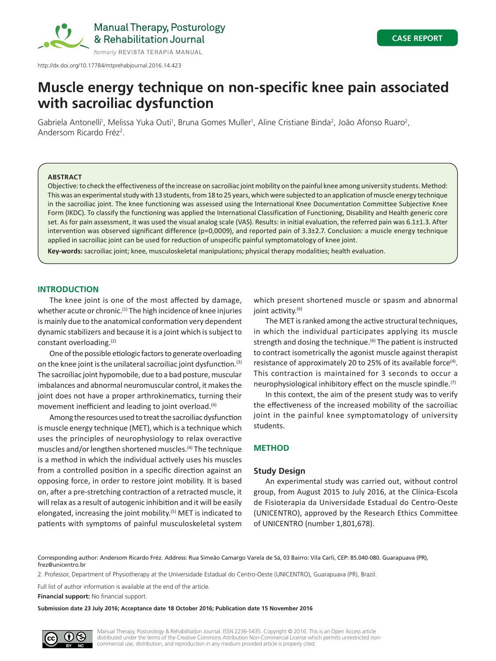

Manual Therapy, Posturology & Rehabilitation Journal

http://dx.doi.org/10.17784/mtprehabjournal.2016.14.423

# **Muscle energy technique on non-specific knee pain associated with sacroiliac dysfunction**

Gabriela Antonelli<sup>1</sup>, Melissa Yuka Outi<sup>1</sup>, Bruna Gomes Muller<sup>1</sup>, Aline Cristiane Binda<sup>2</sup>, João Afonso Ruaro<sup>2</sup>, Andersom Ricardo Fréz<sup>2</sup>.

## **ABSTRACT**

Objective: to check the effectiveness of the increase on sacroiliac joint mobility on the painful knee among university students. Method: This was an experimental study with 13 students, from 18 to 25 years, which were subjected to an application of muscle energy technique in the sacroiliac joint. The knee functioning was assessed using the International Knee Documentation Committee Subjective Knee Form (IKDC). To classify the functioning was applied the International Classification of Functioning, Disability and Health generic core set. As for pain assessment, it was used the visual analog scale (VAS). Results: in initial evaluation, the referred pain was 6.1±1.3. After intervention was observed significant difference (p=0,0009), and reported pain of 3.3±2.7. Conclusion: a muscle energy technique applied in sacroiliac joint can be used for reduction of unspecific painful symptomatology of knee joint.

**Key-words:** sacroiliac joint; knee, musculoskeletal manipulations; physical therapy modalities; health evaluation.

# **INTRODUCTION**

The knee joint is one of the most affected by damage, whether acute or chronic.<sup>(1)</sup> The high incidence of knee injuries is mainly due to the anatomical conformation very dependent dynamic stabilizers and because it is a joint which is subject to constant overloading.(2)

One of the possible etiologic factors to generate overloading on the knee joint is the unilateral sacroiliac joint dysfunction.<sup>(3)</sup> The sacroiliac joint hypomobile, due to a bad posture, muscular imbalances and abnormal neuromuscular control, it makes the joint does not have a proper arthrokinematics, turning their movement inefficient and leading to joint overload.<sup>(4)</sup>

Among the resources used to treat the sacroiliac dysfunction is muscle energy technique (MET), which is a technique which uses the principles of neurophysiology to relax overactive muscles and/or lengthen shortened muscles.<sup>(4)</sup> The technique is a method in which the individual actively uses his muscles from a controlled position in a specific direction against an opposing force, in order to restore joint mobility. It is based on, after a pre-stretching contraction of a retracted muscle, it will relax as a result of autogenic inhibition and it will be easily elongated, increasing the joint mobility.<sup> $(5)$ </sup> MET is indicated to patients with symptoms of painful musculoskeletal system

which present shortened muscle or spasm and abnormal joint activity.<sup>(6)</sup>

The MET is ranked among the active structural techniques, in which the individual participates applying its muscle strength and dosing the technique.<sup>(6)</sup> The patient is instructed to contract isometrically the agonist muscle against therapist resistance of approximately 20 to 25% of its available force<sup>(4)</sup>. This contraction is maintained for 3 seconds to occur a neurophysiological inhibitory effect on the muscle spindle.<sup>(7)</sup>

In this context, the aim of the present study was to verify the effectiveness of the increased mobility of the sacroiliac joint in the painful knee symptomatology of university students.

# **METHOD**

# **Study Design**

An experimental study was carried out, without control group, from August 2015 to July 2016, at the Clínica-Escola de Fisioterapia da Universidade Estadual do Centro-Oeste (UNICENTRO), approved by the Research Ethics Committee of UNICENTRO (number 1,801,678).

Corresponding author: Andersom Ricardo Fréz. Address: Rua Simeão Camargo Varela de Sá, 03 Bairro: Vila Carli, CEP: 85.040-080. Guarapuava (PR), frez@unicentro.br

2. Professor, Department of Physiotherapy at the Universidade Estadual do Centro-Oeste (UNICENTRO), Guarapuava (PR), Brazil.

Full list of author information is available at the end of the article.

**Financial support:** No financial support.

**Submission date 23 July 2016; Acceptance date 18 October 2016; Publication date 15 November 2016**



Manual Therapy, Posturology & Rehabilitation Journal. ISSN 2236-5435. Copyright © 2016. This is an Open Access article distributed under the terms of the Creative Commons Attribution Non-Commercial License which permits unrestricted noncommercial use, distribution, and reproduction in any medium provided article is properly cited.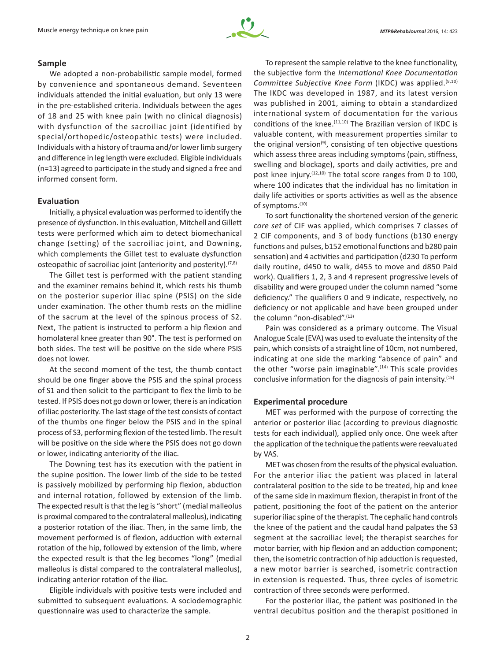

## **Sample**

We adopted a non-probabilistic sample model, formed by convenience and spontaneous demand. Seventeen individuals attended the initial evaluation, but only 13 were in the pre‑established criteria. Individuals between the ages of 18 and 25 with knee pain (with no clinical diagnosis) with dysfunction of the sacroiliac joint (identified by special/orthopedic/osteopathic tests) were included. Individuals with a history of trauma and/or lower limb surgery and difference in leg length were excluded. Eligible individuals (n=13) agreed to participate in the study and signed a free and informed consent form.

# **Evaluation**

Initially, a physical evaluation was performed to identify the presence of dysfunction. In this evaluation, Mitchell and Gillett tests were performed which aim to detect biomechanical change (setting) of the sacroiliac joint, and Downing, which complements the Gillet test to evaluate dysfunction osteopathic of sacroiliac joint (anteriority and posterity).  $(7,8)$ 

The Gillet test is performed with the patient standing and the examiner remains behind it, which rests his thumb on the posterior superior iliac spine (PSIS) on the side under examination. The other thumb rests on the midline of the sacrum at the level of the spinous process of S2. Next, The patient is instructed to perform a hip flexion and homolateral knee greater than 90°. The test is performed on both sides. The test will be positive on the side where PSIS does not lower.

At the second moment of the test, the thumb contact should be one finger above the PSIS and the spinal process of S1 and then solicit to the participant to flex the limb to be tested. If PSIS does not go down or lower, there is an indication of iliac posteriority. The last stage of the test consists of contact of the thumbs one finger below the PSIS and in the spinal process of S3, performing flexion of the tested limb. The result will be positive on the side where the PSIS does not go down or lower, indicating anteriority of the iliac.

The Downing test has its execution with the patient in the supine position. The lower limb of the side to be tested is passively mobilized by performing hip flexion, abduction and internal rotation, followed by extension of the limb. The expected result is that the leg is "short" (medial malleolus is proximal compared to the contralateral malleolus), indicating a posterior rotation of the iliac. Then, in the same limb, the movement performed is of flexion, adduction with external rotation of the hip, followed by extension of the limb, where the expected result is that the leg becomes "long" (medial malleolus is distal compared to the contralateral malleolus), indicating anterior rotation of the iliac.

Eligible individuals with positive tests were included and submitted to subsequent evaluations. A sociodemographic questionnaire was used to characterize the sample.

To represent the sample relative to the knee functionality, the subjective form the *International Knee Documentation Committee Subjective Knee Form* (IKDC) was applied.(9,10) The IKDC was developed in 1987, and its latest version was published in 2001, aiming to obtain a standardized international system of documentation for the various conditions of the knee.<sup>(11,10)</sup> The Brazilian version of IKDC is valuable content, with measurement properties similar to the original version $(9)$ , consisting of ten objective questions which assess three areas including symptoms (pain, stiffness, swelling and blockage), sports and daily activities, pre and post knee injury.<sup>(12,10)</sup> The total score ranges from 0 to 100, where 100 indicates that the individual has no limitation in daily life activities or sports activities as well as the absence of symptoms.<sup>(10)</sup>

To sort functionality the shortened version of the generic *core set* of CIF was applied, which comprises 7 classes of 2 CIF components, and 3 of body functions (b130 energy functions and pulses, b152 emotional functions and b280 pain sensation) and 4 activities and participation (d230 To perform daily routine, d450 to walk, d455 to move and d850 Paid work). Qualifiers 1, 2, 3 and 4 represent progressive levels of disability and were grouped under the column named "some deficiency." The qualifiers 0 and 9 indicate, respectively, no deficiency or not applicable and have been grouped under the column "non-disabled".(13)

Pain was considered as a primary outcome. The Visual Analogue Scale (EVA) was used to evaluate the intensity of the pain, which consists of a straight line of 10cm, not numbered, indicating at one side the marking "absence of pain" and the other "worse pain imaginable". $(14)$  This scale provides conclusive information for the diagnosis of pain intensity.<sup>(15)</sup>

## **Experimental procedure**

MET was performed with the purpose of correcting the anterior or posterior iliac (according to previous diagnostic tests for each individual), applied only once. One week after the application of the technique the patients were reevaluated by VAS.

MET was chosen from the results of the physical evaluation. For the anterior iliac the patient was placed in lateral contralateral position to the side to be treated, hip and knee of the same side in maximum flexion, therapist in front of the patient, positioning the foot of the patient on the anterior superior iliac spine of the therapist. The cephalic hand controls the knee of the patient and the caudal hand palpates the S3 segment at the sacroiliac level; the therapist searches for motor barrier, with hip flexion and an adduction component; then, the isometric contraction of hip adduction is requested, a new motor barrier is searched, isometric contraction in extension is requested. Thus, three cycles of isometric contraction of three seconds were performed.

For the posterior iliac, the patient was positioned in the ventral decubitus position and the therapist positioned in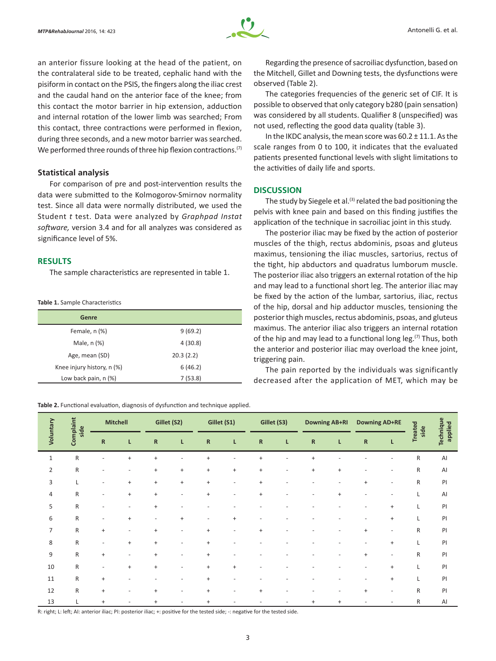

an anterior fissure looking at the head of the patient, on the contralateral side to be treated, cephalic hand with the pisiform in contact on the PSIS, the fingers along the iliac crest and the caudal hand on the anterior face of the knee; from this contact the motor barrier in hip extension, adduction and internal rotation of the lower limb was searched; From this contact, three contractions were performed in flexion, during three seconds, and a new motor barrier was searched. We performed three rounds of three hip flexion contractions.<sup>(7)</sup>

## **Statistical analysis**

For comparison of pre and post-intervention results the data were submitted to the Kolmogorov-Smirnov normality test. Since all data were normally distributed, we used the Student *t* test. Data were analyzed by *Graphpad Instat software,* version 3.4 and for all analyzes was considered as significance level of 5%.

## **RESULTS**

The sample characteristics are represented in table 1.

**Table 1.** Sample Characteristics

| Genre                      |           |
|----------------------------|-----------|
| Female, n (%)              | 9(69.2)   |
| Male, n (%)                | 4(30.8)   |
| Age, mean (SD)             | 20.3(2.2) |
| Knee injury history, n (%) | 6(46.2)   |
| Low back pain, n (%)       | 7(53.8)   |
|                            |           |

**Table 2.** Functional evaluation, diagnosis of dysfunction and technique applied.

Regarding the presence of sacroiliac dysfunction, based on the Mitchell, Gillet and Downing tests, the dysfunctions were observed (Table 2).

The categories frequencies of the generic set of CIF. It is possible to observed that only category b280 (pain sensation) was considered by all students. Qualifier 8 (unspecified) was not used, reflecting the good data quality (table 3).

In the IKDC analysis, the mean score was  $60.2 \pm 11.1$ . As the scale ranges from 0 to 100, it indicates that the evaluated patients presented functional levels with slight limitations to the activities of daily life and sports.

## **DISCUSSION**

The study by Siegele et al.<sup>(3)</sup> related the bad positioning the pelvis with knee pain and based on this finding justifies the application of the technique in sacroiliac joint in this study.

The posterior iliac may be fixed by the action of posterior muscles of the thigh, rectus abdominis, psoas and gluteus maximus, tensioning the iliac muscles, sartorius, rectus of the tight, hip abductors and quadratus lumborum muscle. The posterior iliac also triggers an external rotation of the hip and may lead to a functional short leg. The anterior iliac may be fixed by the action of the lumbar, sartorius, iliac, rectus of the hip, dorsal and hip adductor muscles, tensioning the posterior thigh muscles, rectus abdominis, psoas, and gluteus maximus. The anterior iliac also triggers an internal rotation of the hip and may lead to a functional long leg.<sup>(7)</sup> Thus, both the anterior and posterior iliac may overload the knee joint, triggering pain.

The pain reported by the individuals was significantly decreased after the application of MET, which may be

| Voluntary      | Complaint<br>side | <b>Mitchell</b>          |                          | Gillet (S2)                      |                                  | Gillet (S1) |           | Gillet (S3)                      |           | <b>Downing AB+RI</b> |           | <b>Downing AD+RE</b>             |                          | <b>Treated</b><br>side | applied |           |
|----------------|-------------------|--------------------------|--------------------------|----------------------------------|----------------------------------|-------------|-----------|----------------------------------|-----------|----------------------|-----------|----------------------------------|--------------------------|------------------------|---------|-----------|
|                |                   |                          | ${\sf R}$                | L                                | ${\sf R}$                        | L           | ${\sf R}$ | г                                | ${\sf R}$ | L                    | ${\sf R}$ | L                                | ${\sf R}$                | L.                     |         | Technique |
| $1\,$          | ${\sf R}$         |                          | $\ddot{}$                | $\ddot{}$                        |                                  | $\ddot{}$   |           | $^{+}$                           |           | $^{+}$               |           |                                  |                          | R                      | AI      |           |
| $\overline{2}$ | ${\sf R}$         |                          |                          | $\begin{array}{c} + \end{array}$ | $\ddot{}$                        | $+$         | $\ddot{}$ | $\begin{array}{c} + \end{array}$ |           | $^{+}$               | $\ddot{}$ |                                  |                          | R                      | AI      |           |
| 3              | L                 |                          | $\ddot{}$                | $\begin{array}{c} + \end{array}$ | $\begin{array}{c} + \end{array}$ | $+$         | ٠         | $\ddot{}$                        |           |                      |           | $\ddot{}$                        | $\overline{\phantom{a}}$ | R                      | P       |           |
| 4              | ${\sf R}$         | $\overline{\phantom{a}}$ | $\ddot{}$                | $\ddot{}$                        | ٠                                | $\ddot{}$   |           | $\ddot{}$                        |           |                      | $\ddot{}$ |                                  |                          | L                      | Al      |           |
| 5              | ${\sf R}$         |                          |                          | $\ddot{}$                        |                                  |             |           |                                  |           |                      |           |                                  | $\ddot{}$                |                        | P       |           |
| 6              | ${\sf R}$         | $\overline{\phantom{a}}$ | $^{+}$                   | $\overline{\phantom{a}}$         | $\ddot{}$                        | ٠           | $+$       |                                  |           |                      |           | ٠                                | $\ddot{}$                | L                      | P       |           |
| $\overline{7}$ | $\mathsf{R}$      | $\ddot{}$                |                          | $\ddot{}$                        | ۳                                | $\ddot{}$   |           | $\ddot{}$                        |           |                      |           | $\ddot{}$                        | $\overline{\phantom{a}}$ | R                      | PI      |           |
| 8              | ${\sf R}$         | $\overline{\phantom{a}}$ | $\ddot{}$                | $\begin{array}{c} + \end{array}$ | ٠                                | $\ddot{}$   |           |                                  |           |                      |           |                                  | $\ddot{}$                | L                      | P       |           |
| 9              | ${\sf R}$         | $\ddot{}$                | $\overline{\phantom{a}}$ | $\ddot{}$                        | ٠                                | $\ddot{}$   |           |                                  |           |                      |           | $\begin{array}{c} + \end{array}$ | $\overline{\phantom{a}}$ | R                      | P       |           |
| 10             | ${\sf R}$         |                          | $\ddot{}$                | $\ddot{}$                        |                                  | $\ddot{}$   | $\ddot{}$ |                                  |           |                      |           |                                  | $\ddot{}$                | L                      | PI      |           |
| 11             | ${\sf R}$         | $\ddot{}$                |                          |                                  |                                  | $\ddot{}$   |           |                                  |           |                      |           |                                  | $\ddot{}$                | L                      | P       |           |
| 12             | $\mathsf{R}$      | $\ddot{}$                |                          | $\ddot{}$                        | ٠                                | $\ddot{}$   |           | $\ddot{}$                        |           |                      |           | $\begin{array}{c} + \end{array}$ | $\overline{\phantom{a}}$ | R                      | PI      |           |
| 13             |                   | $\ddot{}$                |                          | $\ddot{}$                        | ۰                                | $\ddot{}$   |           |                                  |           | $\ddot{}$            | $\ddot{}$ |                                  |                          | R                      | AI      |           |

R: right; L: left; AI: anterior iliac; PI: posterior iliac; +: positive for the tested side; -: negative for the tested side.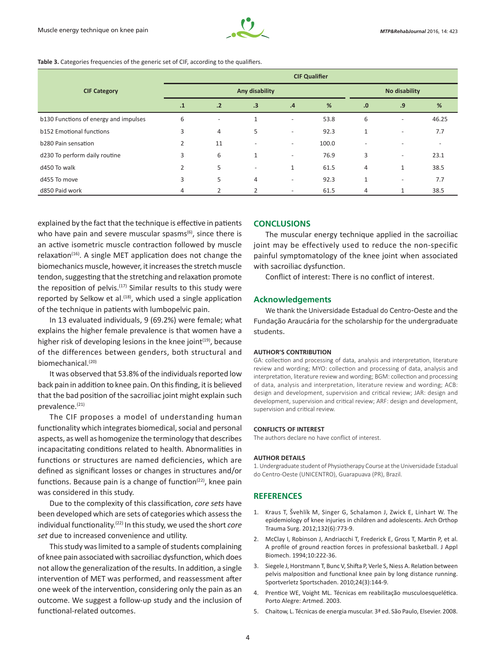

#### Table 3. Categories frequencies of the generic set of CIF, according to the qualifiers.

|                                       | <b>CIF Qualifier</b> |                          |                          |                          |       |                |                          |                          |  |  |
|---------------------------------------|----------------------|--------------------------|--------------------------|--------------------------|-------|----------------|--------------------------|--------------------------|--|--|
| <b>CIF Category</b>                   |                      |                          | Any disability           | No disability            |       |                |                          |                          |  |  |
|                                       | $\cdot$ 1            | .2                       | .3                       | .4                       | %     | .0             | .9                       | %                        |  |  |
| b130 Functions of energy and impulses | 6                    | $\overline{\phantom{a}}$ | $\mathbf{1}$             |                          | 53.8  | 6              | $\overline{\phantom{0}}$ | 46.25                    |  |  |
| b152 Emotional functions              | 3                    | 4                        | 5                        | $\overline{\phantom{a}}$ | 92.3  | 1              | $\overline{\phantom{0}}$ | 7.7                      |  |  |
| b280 Pain sensation                   | $\overline{2}$       | 11                       | $\overline{\phantom{a}}$ | ٠                        | 100.0 |                |                          | $\overline{\phantom{a}}$ |  |  |
| d230 To perform daily routine         | 3                    | 6                        | 1                        | $\overline{\phantom{0}}$ | 76.9  | 3              | $\overline{\phantom{a}}$ | 23.1                     |  |  |
| d450 To walk                          | $\overline{2}$       | 5                        | -                        | 1                        | 61.5  | $\overline{4}$ | $\mathbf{1}$             | 38.5                     |  |  |
| d455 To move                          | 3                    | 5                        | 4                        | $\overline{\phantom{0}}$ | 92.3  | 1              | ٠                        | 7.7                      |  |  |
| d850 Paid work                        | 4                    | 2                        | 2                        | $\overline{\phantom{0}}$ | 61.5  | 4              |                          | 38.5                     |  |  |

explained by the fact that the technique is effective in patients who have pain and severe muscular spasms $(6)$ , since there is an active isometric muscle contraction followed by muscle  $relaxation<sup>(16)</sup>$ . A single MET application does not change the biomechanics muscle, however, it increases the stretch muscle tendon, suggesting that the stretching and relaxation promote the reposition of pelvis.<sup>(17)</sup> Similar results to this study were reported by Selkow et al.<sup>(18)</sup>, which used a single application of the technique in patients with lumbopelvic pain.

In 13 evaluated individuals, 9 (69.2%) were female; what explains the higher female prevalence is that women have a higher risk of developing lesions in the knee joint $(19)$ , because of the differences between genders, both structural and biomechanical.(20)

It was observed that 53.8% of the individuals reported low back pain in addition to knee pain. On this finding, it is believed that the bad position of the sacroiliac joint might explain such prevalence.<sup>(21)</sup>

The CIF proposes a model of understanding human functionality which integrates biomedical, social and personal aspects, as well as homogenize the terminology that describes incapacitating conditions related to health. Abnormalities in functions or structures are named deficiencies, which are defined as significant losses or changes in structures and/or functions. Because pain is a change of function $(22)$ , knee pain was considered in this study.

Due to the complexity of this classification, *core sets* have been developed which are sets of categories which assess the individual functionality.(22) In this study, we used the short *core set* due to increased convenience and utility.

This study was limited to a sample of students complaining of knee pain associated with sacroiliac dysfunction, which does not allow the generalization of the results. In addition, a single intervention of MET was performed, and reassessment after one week of the intervention, considering only the pain as an outcome. We suggest a follow-up study and the inclusion of functional-related outcomes.

## **CONCLUSIONS**

The muscular energy technique applied in the sacroiliac joint may be effectively used to reduce the non-specific painful symptomatology of the knee joint when associated with sacroiliac dysfunction.

Conflict of interest: There is no conflict of interest.

## **Acknowledgements**

We thank the Universidade Estadual do Centro-Oeste and the Fundação Araucária for the scholarship for the undergraduate students.

#### **AUTHOR'S CONTRIBUTION**

GA: collection and processing of data, analysis and interpretation, literature review and wording; MYO: collection and processing of data, analysis and interpretation, literature review and wording; BGM: collection and processing of data, analysis and interpretation, literature review and wording; ACB: design and development, supervision and critical review; JAR: design and development, supervision and critical review; ARF: design and development, supervision and critical review.

#### **CONFLICTS OF INTEREST**

The authors declare no have conflict of interest.

#### **AUTHOR DETAILS**

1. Undergraduate student of Physiotherapy Course at the Universidade Estadual do Centro-Oeste (UNICENTRO), Guarapuava (PR), Brazil.

# **REFERENCES**

- 1. Kraus T, Švehlík M, Singer G, Schalamon J, Zwick E, Linhart W. The epidemiology of knee injuries in children and adolescents. Arch Orthop Trauma Surg. 2012;132(6):773-9.
- 2. McClay I, Robinson J, Andriacchi T, Frederick E, Gross T, Martin P, et al. A profile of ground reaction forces in professional basketball. J Appl Biomech. 1994;10:222-36.
- 3. Siegele J, Horstmann T, Bunc V, Shifta P, Verle S, Niess A. Relation between pelvis malposition and functional knee pain by long distance running. Sportverletz Sportschaden. 2010;24(3):144-9.
- 4. Prentice WE, Voight ML. Técnicas em reabilitação musculoesquelética. Porto Alegre: Artmed. 2003.
- 5. Chaitow, L. Técnicas de energia muscular. 3ª ed. São Paulo, Elsevier. 2008.